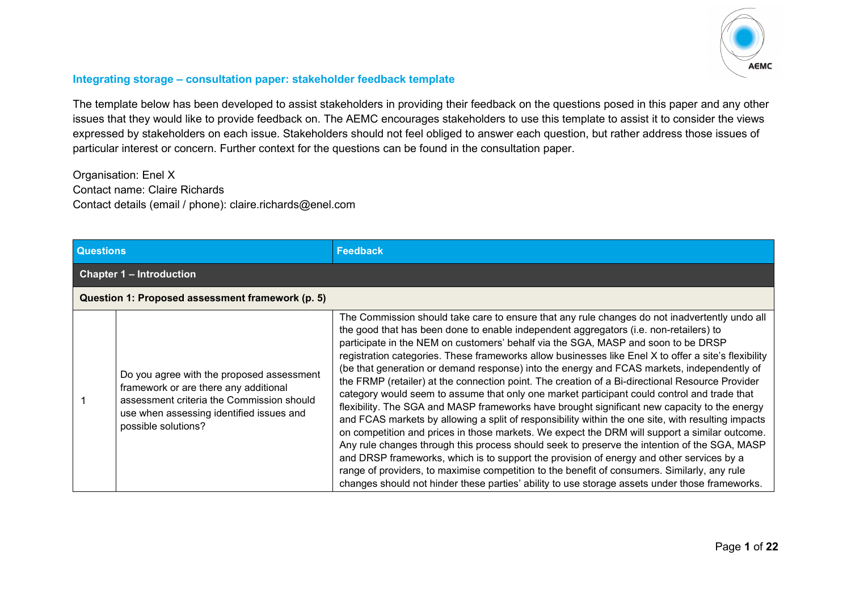

## **Integrating storage – consultation paper: stakeholder feedback template**

The template below has been developed to assist stakeholders in providing their feedback on the questions posed in this paper and any other issues that they would like to provide feedback on. The AEMC encourages stakeholders to use this template to assist it to consider the views expressed by stakeholders on each issue. Stakeholders should not feel obliged to answer each question, but rather address those issues of particular interest or concern. Further context for the questions can be found in the consultation paper.

Organisation: Enel X Contact name: Claire Richards Contact details (email / phone): claire.richards@enel.com

| <b>Questions</b> |                                                                                                                                                                                                    | <b>Feedback</b>                                                                                                                                                                                                                                                                                                                                                                                                                                                                                                                                                                                                                                                                                                                                                                                                                                                                                                                                                                                                                                                                                                                                                                                                                                                                                                                                                                          |
|------------------|----------------------------------------------------------------------------------------------------------------------------------------------------------------------------------------------------|------------------------------------------------------------------------------------------------------------------------------------------------------------------------------------------------------------------------------------------------------------------------------------------------------------------------------------------------------------------------------------------------------------------------------------------------------------------------------------------------------------------------------------------------------------------------------------------------------------------------------------------------------------------------------------------------------------------------------------------------------------------------------------------------------------------------------------------------------------------------------------------------------------------------------------------------------------------------------------------------------------------------------------------------------------------------------------------------------------------------------------------------------------------------------------------------------------------------------------------------------------------------------------------------------------------------------------------------------------------------------------------|
|                  | <b>Chapter 1 – Introduction</b>                                                                                                                                                                    |                                                                                                                                                                                                                                                                                                                                                                                                                                                                                                                                                                                                                                                                                                                                                                                                                                                                                                                                                                                                                                                                                                                                                                                                                                                                                                                                                                                          |
|                  | Question 1: Proposed assessment framework (p. 5)                                                                                                                                                   |                                                                                                                                                                                                                                                                                                                                                                                                                                                                                                                                                                                                                                                                                                                                                                                                                                                                                                                                                                                                                                                                                                                                                                                                                                                                                                                                                                                          |
|                  | Do you agree with the proposed assessment<br>framework or are there any additional<br>assessment criteria the Commission should<br>use when assessing identified issues and<br>possible solutions? | The Commission should take care to ensure that any rule changes do not inadvertently undo all<br>the good that has been done to enable independent aggregators (i.e. non-retailers) to<br>participate in the NEM on customers' behalf via the SGA, MASP and soon to be DRSP<br>registration categories. These frameworks allow businesses like Enel X to offer a site's flexibility<br>(be that generation or demand response) into the energy and FCAS markets, independently of<br>the FRMP (retailer) at the connection point. The creation of a Bi-directional Resource Provider<br>category would seem to assume that only one market participant could control and trade that<br>flexibility. The SGA and MASP frameworks have brought significant new capacity to the energy<br>and FCAS markets by allowing a split of responsibility within the one site, with resulting impacts<br>on competition and prices in those markets. We expect the DRM will support a similar outcome.<br>Any rule changes through this process should seek to preserve the intention of the SGA, MASP<br>and DRSP frameworks, which is to support the provision of energy and other services by a<br>range of providers, to maximise competition to the benefit of consumers. Similarly, any rule<br>changes should not hinder these parties' ability to use storage assets under those frameworks. |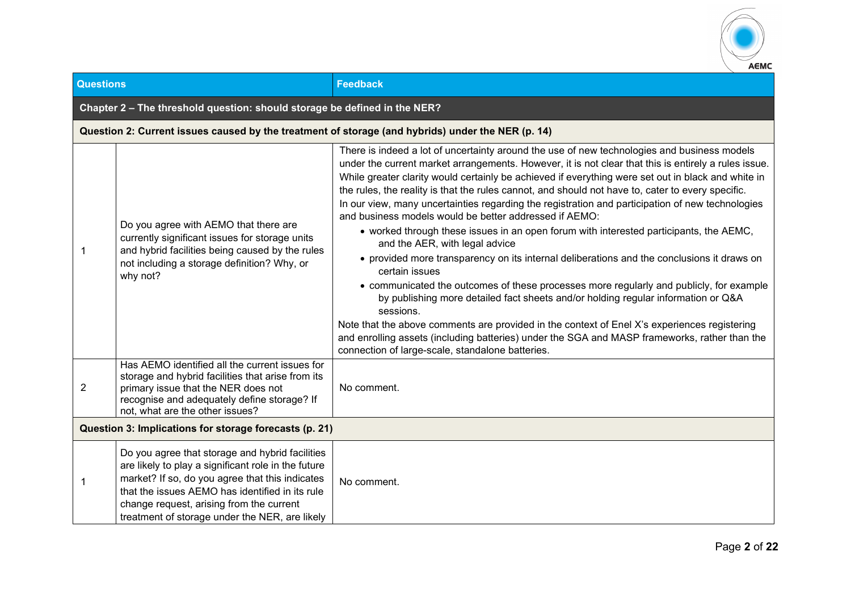

| <b>Questions</b>                                       |                                                                                                                                                                                                                                                                                                            | <b>Feedback</b>                                                                                                                                                                                                                                                                                                                                                                                                                                                                                                                                                                                                                                                                                                                                                                                                                                                                                                                                                                                                                                                                                                                                                                                                                                                            |  |
|--------------------------------------------------------|------------------------------------------------------------------------------------------------------------------------------------------------------------------------------------------------------------------------------------------------------------------------------------------------------------|----------------------------------------------------------------------------------------------------------------------------------------------------------------------------------------------------------------------------------------------------------------------------------------------------------------------------------------------------------------------------------------------------------------------------------------------------------------------------------------------------------------------------------------------------------------------------------------------------------------------------------------------------------------------------------------------------------------------------------------------------------------------------------------------------------------------------------------------------------------------------------------------------------------------------------------------------------------------------------------------------------------------------------------------------------------------------------------------------------------------------------------------------------------------------------------------------------------------------------------------------------------------------|--|
|                                                        | Chapter 2 - The threshold question: should storage be defined in the NER?                                                                                                                                                                                                                                  |                                                                                                                                                                                                                                                                                                                                                                                                                                                                                                                                                                                                                                                                                                                                                                                                                                                                                                                                                                                                                                                                                                                                                                                                                                                                            |  |
|                                                        |                                                                                                                                                                                                                                                                                                            | Question 2: Current issues caused by the treatment of storage (and hybrids) under the NER (p. 14)                                                                                                                                                                                                                                                                                                                                                                                                                                                                                                                                                                                                                                                                                                                                                                                                                                                                                                                                                                                                                                                                                                                                                                          |  |
| -1                                                     | Do you agree with AEMO that there are<br>currently significant issues for storage units<br>and hybrid facilities being caused by the rules<br>not including a storage definition? Why, or<br>why not?                                                                                                      | There is indeed a lot of uncertainty around the use of new technologies and business models<br>under the current market arrangements. However, it is not clear that this is entirely a rules issue.<br>While greater clarity would certainly be achieved if everything were set out in black and white in<br>the rules, the reality is that the rules cannot, and should not have to, cater to every specific.<br>In our view, many uncertainties regarding the registration and participation of new technologies<br>and business models would be better addressed if AEMO:<br>• worked through these issues in an open forum with interested participants, the AEMC,<br>and the AER, with legal advice<br>• provided more transparency on its internal deliberations and the conclusions it draws on<br>certain issues<br>• communicated the outcomes of these processes more regularly and publicly, for example<br>by publishing more detailed fact sheets and/or holding regular information or Q&A<br>sessions.<br>Note that the above comments are provided in the context of Enel X's experiences registering<br>and enrolling assets (including batteries) under the SGA and MASP frameworks, rather than the<br>connection of large-scale, standalone batteries. |  |
| $\overline{2}$                                         | Has AEMO identified all the current issues for<br>storage and hybrid facilities that arise from its<br>primary issue that the NER does not<br>recognise and adequately define storage? If<br>not, what are the other issues?                                                                               | No comment.                                                                                                                                                                                                                                                                                                                                                                                                                                                                                                                                                                                                                                                                                                                                                                                                                                                                                                                                                                                                                                                                                                                                                                                                                                                                |  |
| Question 3: Implications for storage forecasts (p. 21) |                                                                                                                                                                                                                                                                                                            |                                                                                                                                                                                                                                                                                                                                                                                                                                                                                                                                                                                                                                                                                                                                                                                                                                                                                                                                                                                                                                                                                                                                                                                                                                                                            |  |
|                                                        | Do you agree that storage and hybrid facilities<br>are likely to play a significant role in the future<br>market? If so, do you agree that this indicates<br>that the issues AEMO has identified in its rule<br>change request, arising from the current<br>treatment of storage under the NER, are likely | No comment.                                                                                                                                                                                                                                                                                                                                                                                                                                                                                                                                                                                                                                                                                                                                                                                                                                                                                                                                                                                                                                                                                                                                                                                                                                                                |  |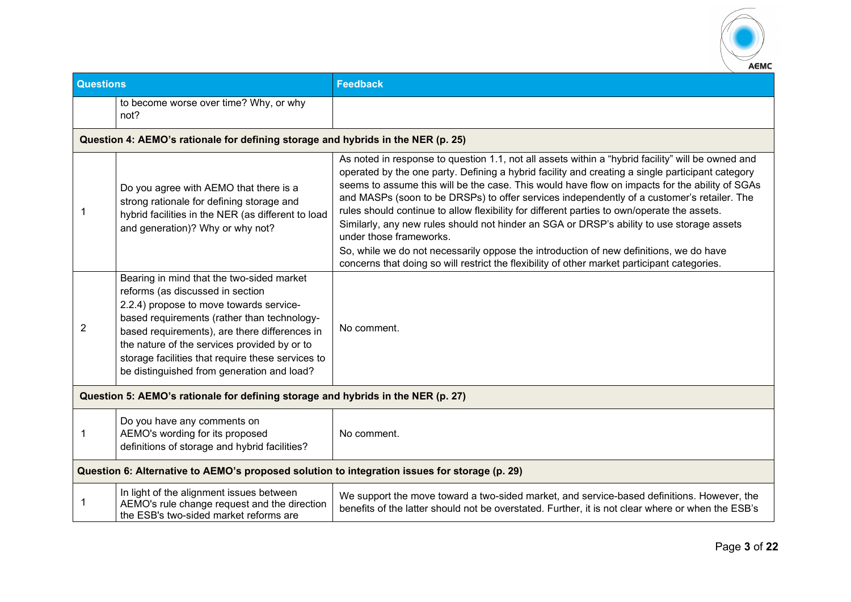

| <b>Questions</b> |                                                                                                                                                                                                                                                                                                                                                                             | <b>Feedback</b>                                                                                                                                                                                                                                                                                                                                                                                                                                                                                                                                                                                                                                                                                                                                                                                                        |
|------------------|-----------------------------------------------------------------------------------------------------------------------------------------------------------------------------------------------------------------------------------------------------------------------------------------------------------------------------------------------------------------------------|------------------------------------------------------------------------------------------------------------------------------------------------------------------------------------------------------------------------------------------------------------------------------------------------------------------------------------------------------------------------------------------------------------------------------------------------------------------------------------------------------------------------------------------------------------------------------------------------------------------------------------------------------------------------------------------------------------------------------------------------------------------------------------------------------------------------|
|                  | to become worse over time? Why, or why<br>not?                                                                                                                                                                                                                                                                                                                              |                                                                                                                                                                                                                                                                                                                                                                                                                                                                                                                                                                                                                                                                                                                                                                                                                        |
|                  | Question 4: AEMO's rationale for defining storage and hybrids in the NER (p. 25)                                                                                                                                                                                                                                                                                            |                                                                                                                                                                                                                                                                                                                                                                                                                                                                                                                                                                                                                                                                                                                                                                                                                        |
|                  | Do you agree with AEMO that there is a<br>strong rationale for defining storage and<br>hybrid facilities in the NER (as different to load<br>and generation)? Why or why not?                                                                                                                                                                                               | As noted in response to question 1.1, not all assets within a "hybrid facility" will be owned and<br>operated by the one party. Defining a hybrid facility and creating a single participant category<br>seems to assume this will be the case. This would have flow on impacts for the ability of SGAs<br>and MASPs (soon to be DRSPs) to offer services independently of a customer's retailer. The<br>rules should continue to allow flexibility for different parties to own/operate the assets.<br>Similarly, any new rules should not hinder an SGA or DRSP's ability to use storage assets<br>under those frameworks.<br>So, while we do not necessarily oppose the introduction of new definitions, we do have<br>concerns that doing so will restrict the flexibility of other market participant categories. |
| 2                | Bearing in mind that the two-sided market<br>reforms (as discussed in section<br>2.2.4) propose to move towards service-<br>based requirements (rather than technology-<br>based requirements), are there differences in<br>the nature of the services provided by or to<br>storage facilities that require these services to<br>be distinguished from generation and load? | No comment.                                                                                                                                                                                                                                                                                                                                                                                                                                                                                                                                                                                                                                                                                                                                                                                                            |
|                  | Question 5: AEMO's rationale for defining storage and hybrids in the NER (p. 27)                                                                                                                                                                                                                                                                                            |                                                                                                                                                                                                                                                                                                                                                                                                                                                                                                                                                                                                                                                                                                                                                                                                                        |
| 1                | Do you have any comments on<br>AEMO's wording for its proposed<br>definitions of storage and hybrid facilities?                                                                                                                                                                                                                                                             | No comment.                                                                                                                                                                                                                                                                                                                                                                                                                                                                                                                                                                                                                                                                                                                                                                                                            |
|                  | Question 6: Alternative to AEMO's proposed solution to integration issues for storage (p. 29)                                                                                                                                                                                                                                                                               |                                                                                                                                                                                                                                                                                                                                                                                                                                                                                                                                                                                                                                                                                                                                                                                                                        |
| 1                | In light of the alignment issues between<br>AEMO's rule change request and the direction<br>the ESB's two-sided market reforms are                                                                                                                                                                                                                                          | We support the move toward a two-sided market, and service-based definitions. However, the<br>benefits of the latter should not be overstated. Further, it is not clear where or when the ESB's                                                                                                                                                                                                                                                                                                                                                                                                                                                                                                                                                                                                                        |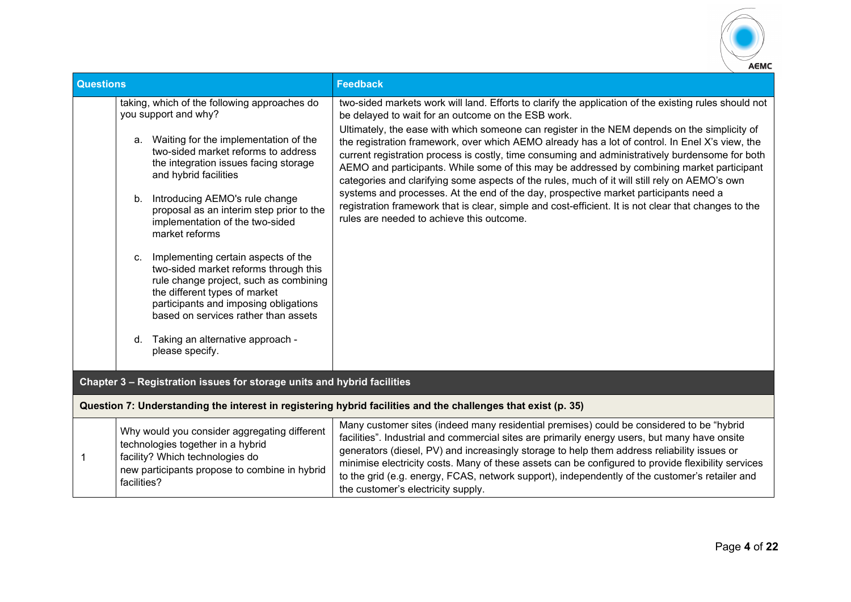

| <b>Questions</b> |                                                                                                                                                                                                                                                | <b>Feedback</b>                                                                                                                                                                                                                                                                                                                                                                                                                                                                                                                        |
|------------------|------------------------------------------------------------------------------------------------------------------------------------------------------------------------------------------------------------------------------------------------|----------------------------------------------------------------------------------------------------------------------------------------------------------------------------------------------------------------------------------------------------------------------------------------------------------------------------------------------------------------------------------------------------------------------------------------------------------------------------------------------------------------------------------------|
|                  | taking, which of the following approaches do<br>you support and why?                                                                                                                                                                           | two-sided markets work will land. Efforts to clarify the application of the existing rules should not<br>be delayed to wait for an outcome on the ESB work.                                                                                                                                                                                                                                                                                                                                                                            |
|                  | Waiting for the implementation of the<br>a.<br>two-sided market reforms to address<br>the integration issues facing storage<br>and hybrid facilities                                                                                           | Ultimately, the ease with which someone can register in the NEM depends on the simplicity of<br>the registration framework, over which AEMO already has a lot of control. In Enel X's view, the<br>current registration process is costly, time consuming and administratively burdensome for both<br>AEMO and participants. While some of this may be addressed by combining market participant<br>categories and clarifying some aspects of the rules, much of it will still rely on AEMO's own                                      |
|                  | Introducing AEMO's rule change<br>b.<br>proposal as an interim step prior to the<br>implementation of the two-sided<br>market reforms                                                                                                          | systems and processes. At the end of the day, prospective market participants need a<br>registration framework that is clear, simple and cost-efficient. It is not clear that changes to the<br>rules are needed to achieve this outcome.                                                                                                                                                                                                                                                                                              |
|                  | Implementing certain aspects of the<br>C.<br>two-sided market reforms through this<br>rule change project, such as combining<br>the different types of market<br>participants and imposing obligations<br>based on services rather than assets |                                                                                                                                                                                                                                                                                                                                                                                                                                                                                                                                        |
|                  | Taking an alternative approach -<br>d.<br>please specify.                                                                                                                                                                                      |                                                                                                                                                                                                                                                                                                                                                                                                                                                                                                                                        |
|                  | Chapter 3 - Registration issues for storage units and hybrid facilities                                                                                                                                                                        |                                                                                                                                                                                                                                                                                                                                                                                                                                                                                                                                        |
|                  |                                                                                                                                                                                                                                                | Question 7: Understanding the interest in registering hybrid facilities and the challenges that exist (p. 35)                                                                                                                                                                                                                                                                                                                                                                                                                          |
|                  | Why would you consider aggregating different<br>technologies together in a hybrid<br>facility? Which technologies do<br>new participants propose to combine in hybrid<br>facilities?                                                           | Many customer sites (indeed many residential premises) could be considered to be "hybrid<br>facilities". Industrial and commercial sites are primarily energy users, but many have onsite<br>generators (diesel, PV) and increasingly storage to help them address reliability issues or<br>minimise electricity costs. Many of these assets can be configured to provide flexibility services<br>to the grid (e.g. energy, FCAS, network support), independently of the customer's retailer and<br>the customer's electricity supply. |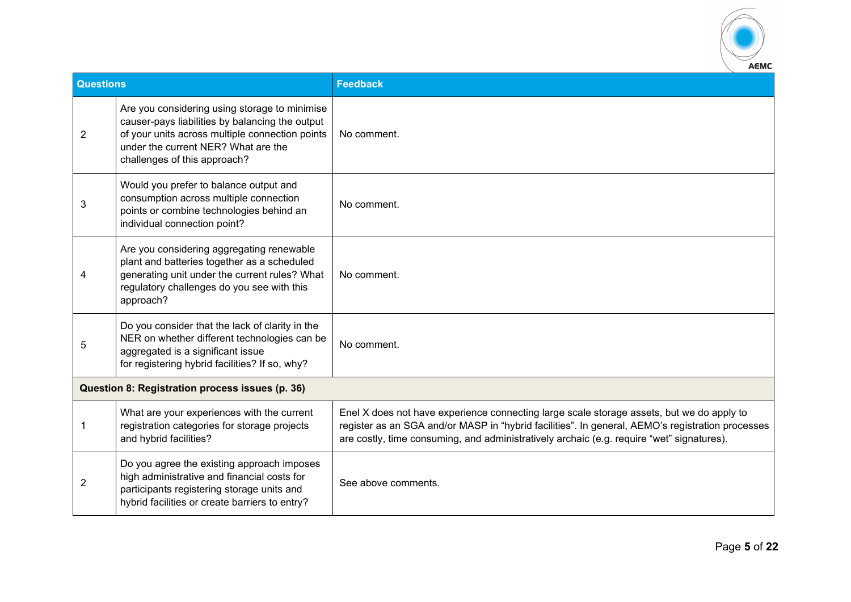

| <b>Questions</b> |                                                                                                                                                                                                                            |                                                                                                                                                                                                                                                                                            |
|------------------|----------------------------------------------------------------------------------------------------------------------------------------------------------------------------------------------------------------------------|--------------------------------------------------------------------------------------------------------------------------------------------------------------------------------------------------------------------------------------------------------------------------------------------|
|                  |                                                                                                                                                                                                                            | <b>Feedback</b>                                                                                                                                                                                                                                                                            |
| $\overline{2}$   | Are you considering using storage to minimise<br>causer-pays liabilities by balancing the output<br>of your units across multiple connection points<br>under the current NER? What are the<br>challenges of this approach? | No comment.                                                                                                                                                                                                                                                                                |
| 3                | Would you prefer to balance output and<br>consumption across multiple connection<br>points or combine technologies behind an<br>individual connection point?                                                               | No comment.                                                                                                                                                                                                                                                                                |
| 4                | Are you considering aggregating renewable<br>plant and batteries together as a scheduled<br>generating unit under the current rules? What<br>regulatory challenges do you see with this<br>approach?                       | No comment.                                                                                                                                                                                                                                                                                |
| 5                | Do you consider that the lack of clarity in the<br>NER on whether different technologies can be<br>aggregated is a significant issue<br>for registering hybrid facilities? If so, why?                                     | No comment.                                                                                                                                                                                                                                                                                |
|                  | Question 8: Registration process issues (p. 36)                                                                                                                                                                            |                                                                                                                                                                                                                                                                                            |
| 1                | What are your experiences with the current<br>registration categories for storage projects<br>and hybrid facilities?                                                                                                       | Enel X does not have experience connecting large scale storage assets, but we do apply to<br>register as an SGA and/or MASP in "hybrid facilities". In general, AEMO's registration processes<br>are costly, time consuming, and administratively archaic (e.g. require "wet" signatures). |
| $\overline{2}$   | Do you agree the existing approach imposes<br>high administrative and financial costs for<br>participants registering storage units and<br>hybrid facilities or create barriers to entry?                                  | See above comments.                                                                                                                                                                                                                                                                        |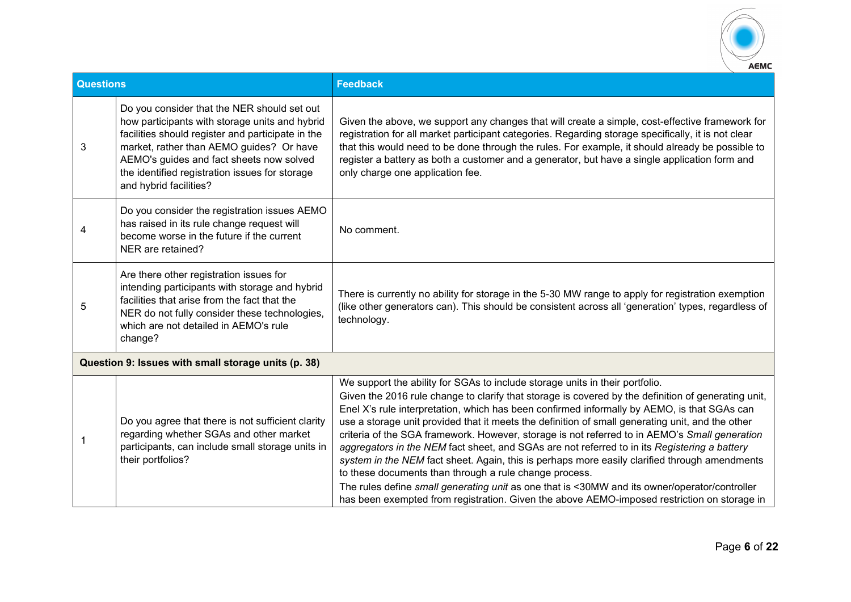

| <b>Questions</b> |                                                                                                                                                                                                                                                                                                                        | <b>Feedback</b>                                                                                                                                                                                                                                                                                                                                                                                                                                                                                                                                                                                                                                                                                                                                                                                                                                                                                                                                    |
|------------------|------------------------------------------------------------------------------------------------------------------------------------------------------------------------------------------------------------------------------------------------------------------------------------------------------------------------|----------------------------------------------------------------------------------------------------------------------------------------------------------------------------------------------------------------------------------------------------------------------------------------------------------------------------------------------------------------------------------------------------------------------------------------------------------------------------------------------------------------------------------------------------------------------------------------------------------------------------------------------------------------------------------------------------------------------------------------------------------------------------------------------------------------------------------------------------------------------------------------------------------------------------------------------------|
| 3                | Do you consider that the NER should set out<br>how participants with storage units and hybrid<br>facilities should register and participate in the<br>market, rather than AEMO guides? Or have<br>AEMO's guides and fact sheets now solved<br>the identified registration issues for storage<br>and hybrid facilities? | Given the above, we support any changes that will create a simple, cost-effective framework for<br>registration for all market participant categories. Regarding storage specifically, it is not clear<br>that this would need to be done through the rules. For example, it should already be possible to<br>register a battery as both a customer and a generator, but have a single application form and<br>only charge one application fee.                                                                                                                                                                                                                                                                                                                                                                                                                                                                                                    |
| 4                | Do you consider the registration issues AEMO<br>has raised in its rule change request will<br>become worse in the future if the current<br>NER are retained?                                                                                                                                                           | No comment.                                                                                                                                                                                                                                                                                                                                                                                                                                                                                                                                                                                                                                                                                                                                                                                                                                                                                                                                        |
| 5                | Are there other registration issues for<br>intending participants with storage and hybrid<br>facilities that arise from the fact that the<br>NER do not fully consider these technologies,<br>which are not detailed in AEMO's rule<br>change?                                                                         | There is currently no ability for storage in the 5-30 MW range to apply for registration exemption<br>(like other generators can). This should be consistent across all 'generation' types, regardless of<br>technology.                                                                                                                                                                                                                                                                                                                                                                                                                                                                                                                                                                                                                                                                                                                           |
|                  | Question 9: Issues with small storage units (p. 38)                                                                                                                                                                                                                                                                    |                                                                                                                                                                                                                                                                                                                                                                                                                                                                                                                                                                                                                                                                                                                                                                                                                                                                                                                                                    |
| 1                | Do you agree that there is not sufficient clarity<br>regarding whether SGAs and other market<br>participants, can include small storage units in<br>their portfolios?                                                                                                                                                  | We support the ability for SGAs to include storage units in their portfolio.<br>Given the 2016 rule change to clarify that storage is covered by the definition of generating unit,<br>Enel X's rule interpretation, which has been confirmed informally by AEMO, is that SGAs can<br>use a storage unit provided that it meets the definition of small generating unit, and the other<br>criteria of the SGA framework. However, storage is not referred to in AEMO's Small generation<br>aggregators in the NEM fact sheet, and SGAs are not referred to in its Registering a battery<br>system in the NEM fact sheet. Again, this is perhaps more easily clarified through amendments<br>to these documents than through a rule change process.<br>The rules define small generating unit as one that is <30MW and its owner/operator/controller<br>has been exempted from registration. Given the above AEMO-imposed restriction on storage in |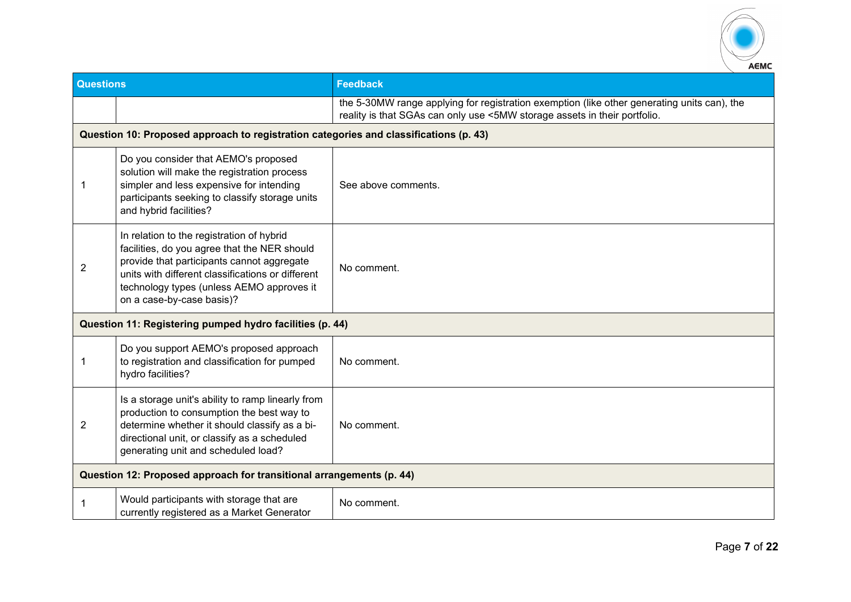

| <b>Questions</b>                                                     |                                                                                                                                                                                                                                                                        | <b>Feedback</b>                                                                                                                                                          |  |
|----------------------------------------------------------------------|------------------------------------------------------------------------------------------------------------------------------------------------------------------------------------------------------------------------------------------------------------------------|--------------------------------------------------------------------------------------------------------------------------------------------------------------------------|--|
|                                                                      |                                                                                                                                                                                                                                                                        | the 5-30MW range applying for registration exemption (like other generating units can), the<br>reality is that SGAs can only use <5MW storage assets in their portfolio. |  |
|                                                                      | Question 10: Proposed approach to registration categories and classifications (p. 43)                                                                                                                                                                                  |                                                                                                                                                                          |  |
| -1                                                                   | Do you consider that AEMO's proposed<br>solution will make the registration process<br>simpler and less expensive for intending<br>participants seeking to classify storage units<br>and hybrid facilities?                                                            | See above comments.                                                                                                                                                      |  |
| $\overline{2}$                                                       | In relation to the registration of hybrid<br>facilities, do you agree that the NER should<br>provide that participants cannot aggregate<br>units with different classifications or different<br>technology types (unless AEMO approves it<br>on a case-by-case basis)? | No comment.                                                                                                                                                              |  |
|                                                                      | Question 11: Registering pumped hydro facilities (p. 44)                                                                                                                                                                                                               |                                                                                                                                                                          |  |
| 1                                                                    | Do you support AEMO's proposed approach<br>to registration and classification for pumped<br>hydro facilities?                                                                                                                                                          | No comment.                                                                                                                                                              |  |
| 2                                                                    | Is a storage unit's ability to ramp linearly from<br>production to consumption the best way to<br>determine whether it should classify as a bi-<br>directional unit, or classify as a scheduled<br>generating unit and scheduled load?                                 | No comment.                                                                                                                                                              |  |
| Question 12: Proposed approach for transitional arrangements (p. 44) |                                                                                                                                                                                                                                                                        |                                                                                                                                                                          |  |
|                                                                      | Would participants with storage that are<br>currently registered as a Market Generator                                                                                                                                                                                 | No comment.                                                                                                                                                              |  |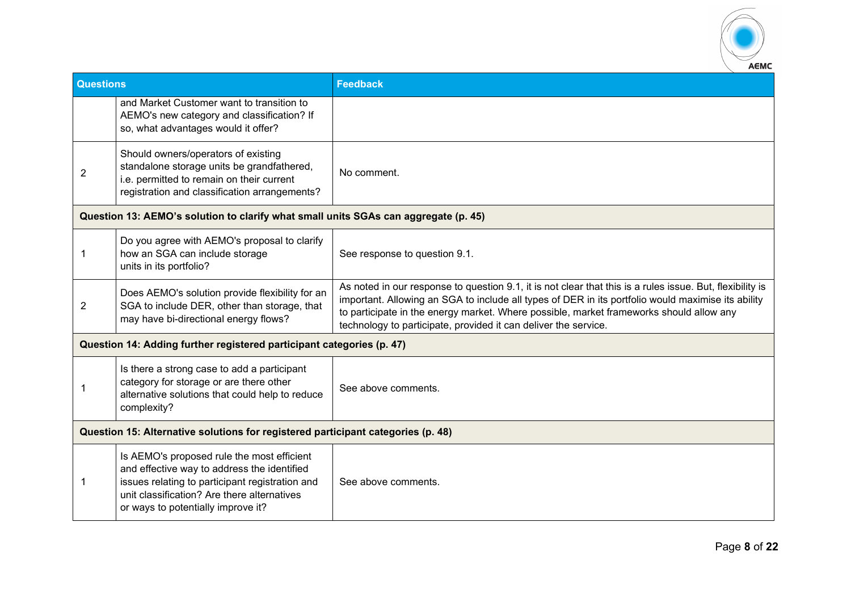

| <b>Questions</b>                                                                 |                                                                                                                                                                                                                                   | <b>Feedback</b>                                                                                                                                                                                                                                                                                                                                                               |  |
|----------------------------------------------------------------------------------|-----------------------------------------------------------------------------------------------------------------------------------------------------------------------------------------------------------------------------------|-------------------------------------------------------------------------------------------------------------------------------------------------------------------------------------------------------------------------------------------------------------------------------------------------------------------------------------------------------------------------------|--|
|                                                                                  | and Market Customer want to transition to<br>AEMO's new category and classification? If<br>so, what advantages would it offer?                                                                                                    |                                                                                                                                                                                                                                                                                                                                                                               |  |
| $\overline{2}$                                                                   | Should owners/operators of existing<br>standalone storage units be grandfathered,<br>i.e. permitted to remain on their current<br>registration and classification arrangements?                                                   | No comment.                                                                                                                                                                                                                                                                                                                                                                   |  |
|                                                                                  | Question 13: AEMO's solution to clarify what small units SGAs can aggregate (p. 45)                                                                                                                                               |                                                                                                                                                                                                                                                                                                                                                                               |  |
|                                                                                  | Do you agree with AEMO's proposal to clarify<br>how an SGA can include storage<br>units in its portfolio?                                                                                                                         | See response to question 9.1.                                                                                                                                                                                                                                                                                                                                                 |  |
| 2                                                                                | Does AEMO's solution provide flexibility for an<br>SGA to include DER, other than storage, that<br>may have bi-directional energy flows?                                                                                          | As noted in our response to question 9.1, it is not clear that this is a rules issue. But, flexibility is<br>important. Allowing an SGA to include all types of DER in its portfolio would maximise its ability<br>to participate in the energy market. Where possible, market frameworks should allow any<br>technology to participate, provided it can deliver the service. |  |
|                                                                                  | Question 14: Adding further registered participant categories (p. 47)                                                                                                                                                             |                                                                                                                                                                                                                                                                                                                                                                               |  |
|                                                                                  | Is there a strong case to add a participant<br>category for storage or are there other<br>alternative solutions that could help to reduce<br>complexity?                                                                          | See above comments.                                                                                                                                                                                                                                                                                                                                                           |  |
| Question 15: Alternative solutions for registered participant categories (p. 48) |                                                                                                                                                                                                                                   |                                                                                                                                                                                                                                                                                                                                                                               |  |
| 1                                                                                | Is AEMO's proposed rule the most efficient<br>and effective way to address the identified<br>issues relating to participant registration and<br>unit classification? Are there alternatives<br>or ways to potentially improve it? | See above comments.                                                                                                                                                                                                                                                                                                                                                           |  |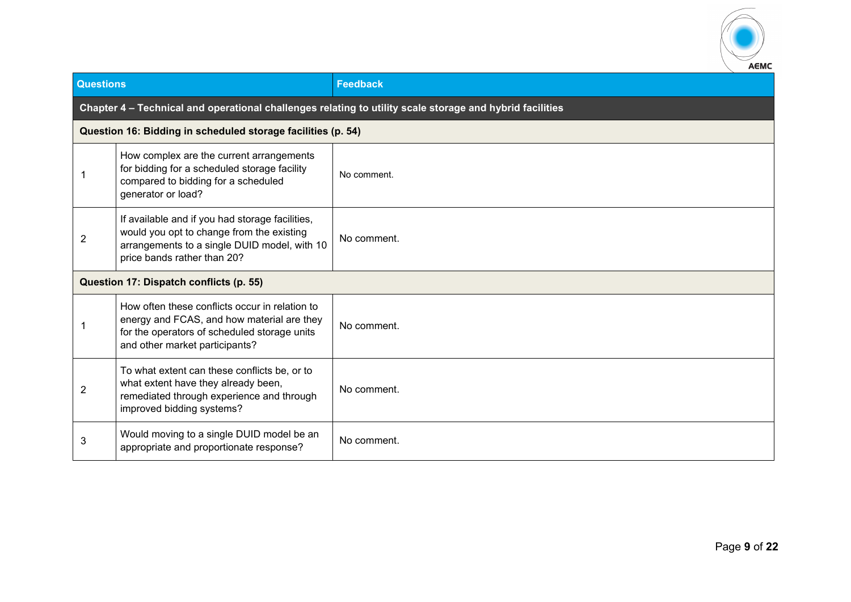

| <b>Questions</b> |                                                                                                                                                                                | <b>Feedback</b> |  |
|------------------|--------------------------------------------------------------------------------------------------------------------------------------------------------------------------------|-----------------|--|
|                  | Chapter 4 - Technical and operational challenges relating to utility scale storage and hybrid facilities                                                                       |                 |  |
|                  | Question 16: Bidding in scheduled storage facilities (p. 54)                                                                                                                   |                 |  |
|                  | How complex are the current arrangements<br>for bidding for a scheduled storage facility<br>compared to bidding for a scheduled<br>generator or load?                          | No comment.     |  |
| $\overline{2}$   | If available and if you had storage facilities,<br>would you opt to change from the existing<br>arrangements to a single DUID model, with 10<br>price bands rather than 20?    | No comment.     |  |
|                  | Question 17: Dispatch conflicts (p. 55)                                                                                                                                        |                 |  |
|                  | How often these conflicts occur in relation to<br>energy and FCAS, and how material are they<br>for the operators of scheduled storage units<br>and other market participants? | No comment.     |  |
| $\overline{2}$   | To what extent can these conflicts be, or to<br>what extent have they already been,<br>remediated through experience and through<br>improved bidding systems?                  | No comment.     |  |
| 3                | Would moving to a single DUID model be an<br>appropriate and proportionate response?                                                                                           | No comment.     |  |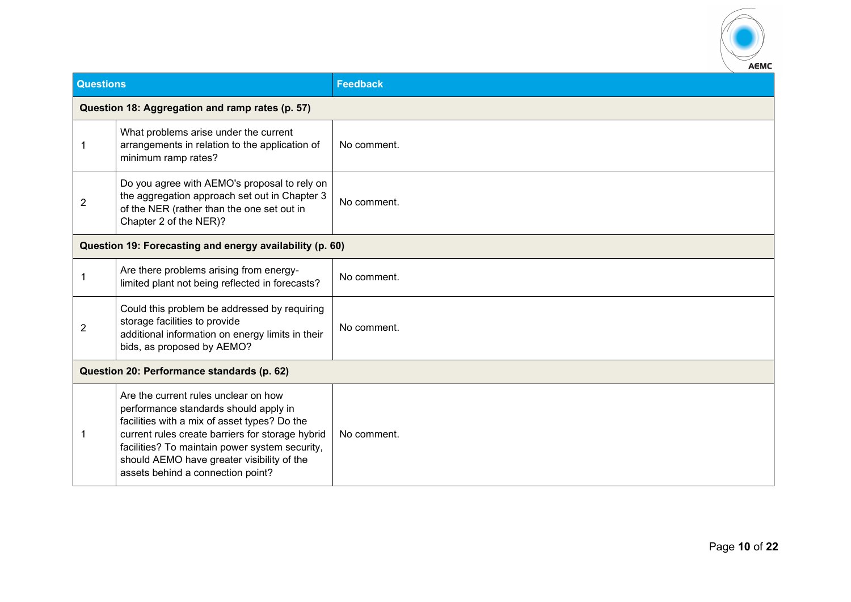

| Questions      |                                                                                                                                                                                                                                                                                                                        | <b>Feedback</b> |
|----------------|------------------------------------------------------------------------------------------------------------------------------------------------------------------------------------------------------------------------------------------------------------------------------------------------------------------------|-----------------|
|                | Question 18: Aggregation and ramp rates (p. 57)                                                                                                                                                                                                                                                                        |                 |
| 1              | What problems arise under the current<br>arrangements in relation to the application of<br>minimum ramp rates?                                                                                                                                                                                                         | No comment.     |
| $\overline{2}$ | Do you agree with AEMO's proposal to rely on<br>the aggregation approach set out in Chapter 3<br>of the NER (rather than the one set out in<br>Chapter 2 of the NER)?                                                                                                                                                  | No comment.     |
|                | Question 19: Forecasting and energy availability (p. 60)                                                                                                                                                                                                                                                               |                 |
|                | Are there problems arising from energy-<br>limited plant not being reflected in forecasts?                                                                                                                                                                                                                             | No comment.     |
| 2              | Could this problem be addressed by requiring<br>storage facilities to provide<br>additional information on energy limits in their<br>bids, as proposed by AEMO?                                                                                                                                                        | No comment.     |
|                | Question 20: Performance standards (p. 62)                                                                                                                                                                                                                                                                             |                 |
| 1              | Are the current rules unclear on how<br>performance standards should apply in<br>facilities with a mix of asset types? Do the<br>current rules create barriers for storage hybrid<br>facilities? To maintain power system security,<br>should AEMO have greater visibility of the<br>assets behind a connection point? | No comment.     |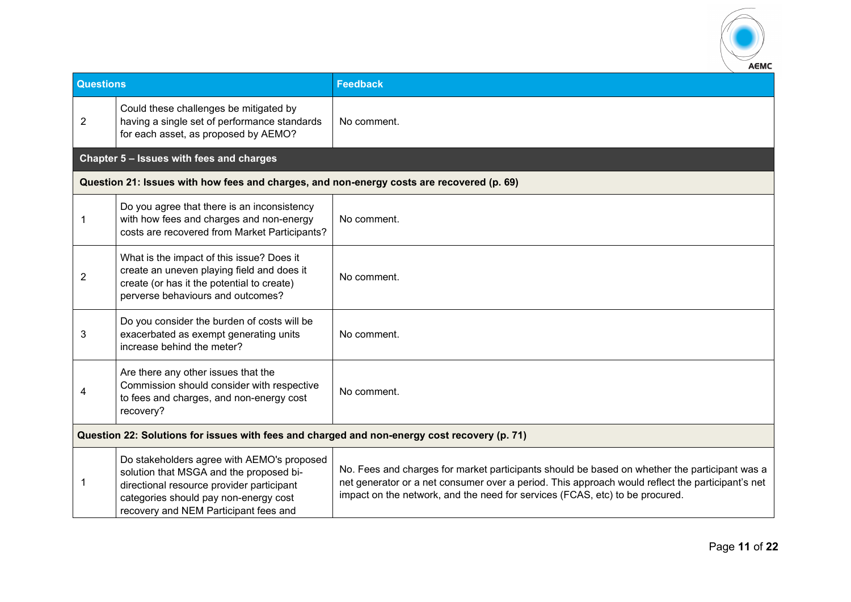

| <b>Questions</b>                                                                             |                                                                                                                                                                                                                      | <b>Feedback</b>                                                                                                                                                                                                                                                                   |
|----------------------------------------------------------------------------------------------|----------------------------------------------------------------------------------------------------------------------------------------------------------------------------------------------------------------------|-----------------------------------------------------------------------------------------------------------------------------------------------------------------------------------------------------------------------------------------------------------------------------------|
| $\overline{2}$                                                                               | Could these challenges be mitigated by<br>having a single set of performance standards<br>for each asset, as proposed by AEMO?                                                                                       | No comment.                                                                                                                                                                                                                                                                       |
|                                                                                              | Chapter 5 - Issues with fees and charges                                                                                                                                                                             |                                                                                                                                                                                                                                                                                   |
|                                                                                              | Question 21: Issues with how fees and charges, and non-energy costs are recovered (p. 69)                                                                                                                            |                                                                                                                                                                                                                                                                                   |
| 1                                                                                            | Do you agree that there is an inconsistency<br>with how fees and charges and non-energy<br>costs are recovered from Market Participants?                                                                             | No comment.                                                                                                                                                                                                                                                                       |
| 2                                                                                            | What is the impact of this issue? Does it<br>create an uneven playing field and does it<br>create (or has it the potential to create)<br>perverse behaviours and outcomes?                                           | No comment.                                                                                                                                                                                                                                                                       |
| 3                                                                                            | Do you consider the burden of costs will be<br>exacerbated as exempt generating units<br>increase behind the meter?                                                                                                  | No comment.                                                                                                                                                                                                                                                                       |
|                                                                                              | Are there any other issues that the<br>Commission should consider with respective<br>to fees and charges, and non-energy cost<br>recovery?                                                                           | No comment.                                                                                                                                                                                                                                                                       |
| Question 22: Solutions for issues with fees and charged and non-energy cost recovery (p. 71) |                                                                                                                                                                                                                      |                                                                                                                                                                                                                                                                                   |
|                                                                                              | Do stakeholders agree with AEMO's proposed<br>solution that MSGA and the proposed bi-<br>directional resource provider participant<br>categories should pay non-energy cost<br>recovery and NEM Participant fees and | No. Fees and charges for market participants should be based on whether the participant was a<br>net generator or a net consumer over a period. This approach would reflect the participant's net<br>impact on the network, and the need for services (FCAS, etc) to be procured. |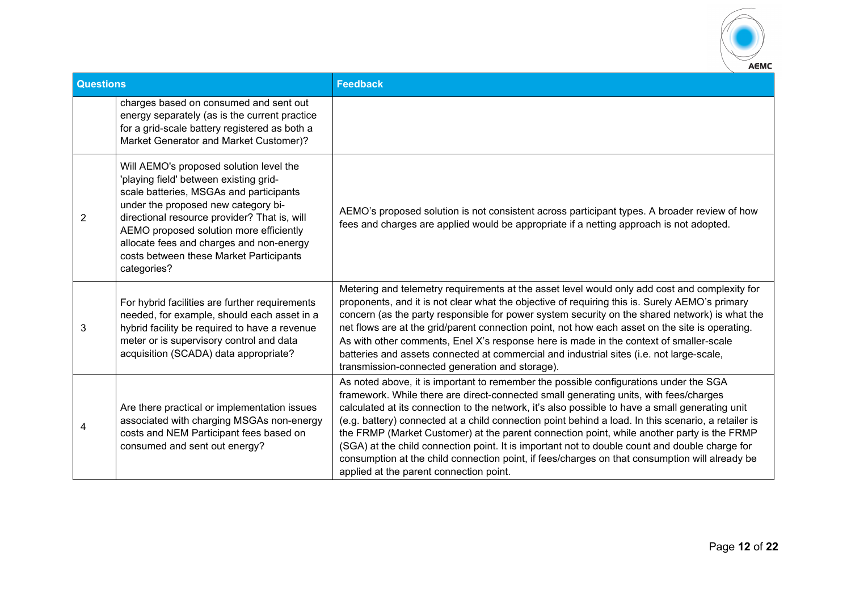

| <b>Questions</b> |                                                                                                                                                                                                                                                                                                                                                                      | <b>Feedback</b>                                                                                                                                                                                                                                                                                                                                                                                                                                                                                                                                                                                                                                                                                                                       |
|------------------|----------------------------------------------------------------------------------------------------------------------------------------------------------------------------------------------------------------------------------------------------------------------------------------------------------------------------------------------------------------------|---------------------------------------------------------------------------------------------------------------------------------------------------------------------------------------------------------------------------------------------------------------------------------------------------------------------------------------------------------------------------------------------------------------------------------------------------------------------------------------------------------------------------------------------------------------------------------------------------------------------------------------------------------------------------------------------------------------------------------------|
|                  | charges based on consumed and sent out<br>energy separately (as is the current practice<br>for a grid-scale battery registered as both a<br>Market Generator and Market Customer)?                                                                                                                                                                                   |                                                                                                                                                                                                                                                                                                                                                                                                                                                                                                                                                                                                                                                                                                                                       |
| $\overline{2}$   | Will AEMO's proposed solution level the<br>'playing field' between existing grid-<br>scale batteries, MSGAs and participants<br>under the proposed new category bi-<br>directional resource provider? That is, will<br>AEMO proposed solution more efficiently<br>allocate fees and charges and non-energy<br>costs between these Market Participants<br>categories? | AEMO's proposed solution is not consistent across participant types. A broader review of how<br>fees and charges are applied would be appropriate if a netting approach is not adopted.                                                                                                                                                                                                                                                                                                                                                                                                                                                                                                                                               |
| 3                | For hybrid facilities are further requirements<br>needed, for example, should each asset in a<br>hybrid facility be required to have a revenue<br>meter or is supervisory control and data<br>acquisition (SCADA) data appropriate?                                                                                                                                  | Metering and telemetry requirements at the asset level would only add cost and complexity for<br>proponents, and it is not clear what the objective of requiring this is. Surely AEMO's primary<br>concern (as the party responsible for power system security on the shared network) is what the<br>net flows are at the grid/parent connection point, not how each asset on the site is operating.<br>As with other comments, Enel X's response here is made in the context of smaller-scale<br>batteries and assets connected at commercial and industrial sites (i.e. not large-scale,<br>transmission-connected generation and storage).                                                                                         |
| 4                | Are there practical or implementation issues<br>associated with charging MSGAs non-energy<br>costs and NEM Participant fees based on<br>consumed and sent out energy?                                                                                                                                                                                                | As noted above, it is important to remember the possible configurations under the SGA<br>framework. While there are direct-connected small generating units, with fees/charges<br>calculated at its connection to the network, it's also possible to have a small generating unit<br>(e.g. battery) connected at a child connection point behind a load. In this scenario, a retailer is<br>the FRMP (Market Customer) at the parent connection point, while another party is the FRMP<br>(SGA) at the child connection point. It is important not to double count and double charge for<br>consumption at the child connection point, if fees/charges on that consumption will already be<br>applied at the parent connection point. |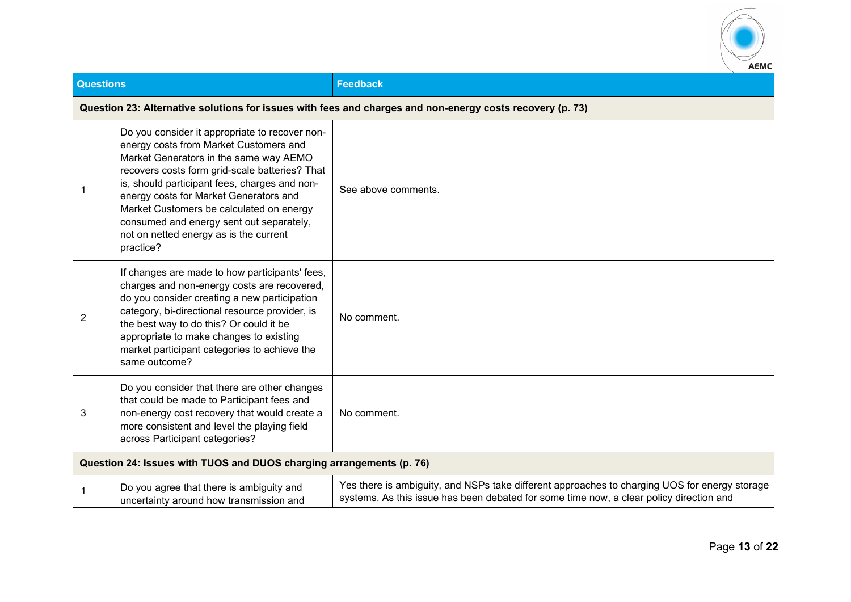

| <b>Questions</b> |                                                                                                                                                                                                                                                                                                                                                                                                                                | <b>Feedback</b>                                                                                                                                                                          |
|------------------|--------------------------------------------------------------------------------------------------------------------------------------------------------------------------------------------------------------------------------------------------------------------------------------------------------------------------------------------------------------------------------------------------------------------------------|------------------------------------------------------------------------------------------------------------------------------------------------------------------------------------------|
|                  | Question 23: Alternative solutions for issues with fees and charges and non-energy costs recovery (p. 73)                                                                                                                                                                                                                                                                                                                      |                                                                                                                                                                                          |
|                  | Do you consider it appropriate to recover non-<br>energy costs from Market Customers and<br>Market Generators in the same way AEMO<br>recovers costs form grid-scale batteries? That<br>is, should participant fees, charges and non-<br>energy costs for Market Generators and<br>Market Customers be calculated on energy<br>consumed and energy sent out separately,<br>not on netted energy as is the current<br>practice? | See above comments.                                                                                                                                                                      |
| $\overline{2}$   | If changes are made to how participants' fees,<br>charges and non-energy costs are recovered,<br>do you consider creating a new participation<br>category, bi-directional resource provider, is<br>the best way to do this? Or could it be<br>appropriate to make changes to existing<br>market participant categories to achieve the<br>same outcome?                                                                         | No comment.                                                                                                                                                                              |
| 3                | Do you consider that there are other changes<br>that could be made to Participant fees and<br>non-energy cost recovery that would create a<br>more consistent and level the playing field<br>across Participant categories?                                                                                                                                                                                                    | No comment.                                                                                                                                                                              |
|                  | Question 24: Issues with TUOS and DUOS charging arrangements (p. 76)                                                                                                                                                                                                                                                                                                                                                           |                                                                                                                                                                                          |
| 1                | Do you agree that there is ambiguity and<br>uncertainty around how transmission and                                                                                                                                                                                                                                                                                                                                            | Yes there is ambiguity, and NSPs take different approaches to charging UOS for energy storage<br>systems. As this issue has been debated for some time now, a clear policy direction and |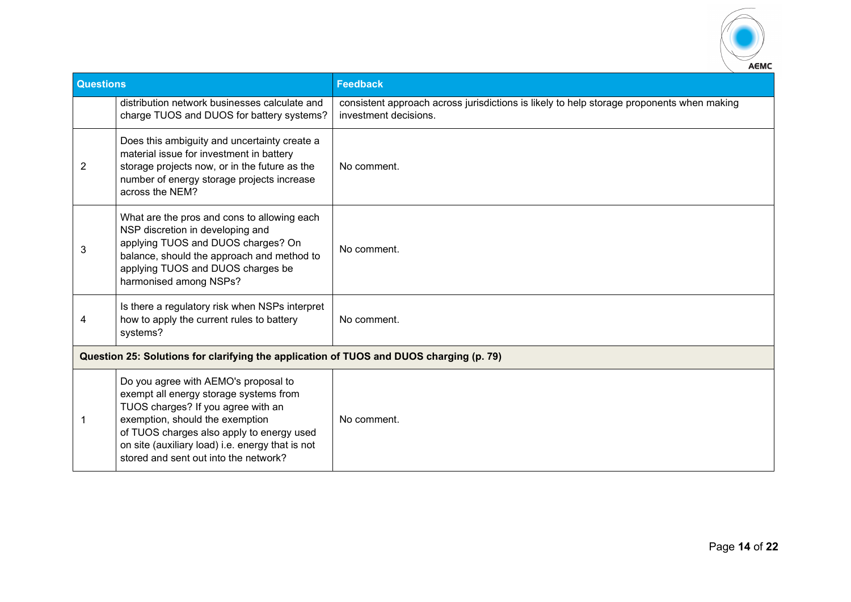

| <b>Questions</b> |                                                                                                                                                                                                                                                                                                   | <b>Feedback</b>                                                                                                    |  |
|------------------|---------------------------------------------------------------------------------------------------------------------------------------------------------------------------------------------------------------------------------------------------------------------------------------------------|--------------------------------------------------------------------------------------------------------------------|--|
|                  | distribution network businesses calculate and<br>charge TUOS and DUOS for battery systems?                                                                                                                                                                                                        | consistent approach across jurisdictions is likely to help storage proponents when making<br>investment decisions. |  |
| 2                | Does this ambiguity and uncertainty create a<br>material issue for investment in battery<br>storage projects now, or in the future as the<br>number of energy storage projects increase<br>across the NEM?                                                                                        | No comment.                                                                                                        |  |
| 3                | What are the pros and cons to allowing each<br>NSP discretion in developing and<br>applying TUOS and DUOS charges? On<br>balance, should the approach and method to<br>applying TUOS and DUOS charges be<br>harmonised among NSPs?                                                                | No comment.                                                                                                        |  |
| 4                | Is there a regulatory risk when NSPs interpret<br>how to apply the current rules to battery<br>systems?                                                                                                                                                                                           | No comment.                                                                                                        |  |
|                  | Question 25: Solutions for clarifying the application of TUOS and DUOS charging (p. 79)                                                                                                                                                                                                           |                                                                                                                    |  |
|                  | Do you agree with AEMO's proposal to<br>exempt all energy storage systems from<br>TUOS charges? If you agree with an<br>exemption, should the exemption<br>of TUOS charges also apply to energy used<br>on site (auxiliary load) i.e. energy that is not<br>stored and sent out into the network? | No comment.                                                                                                        |  |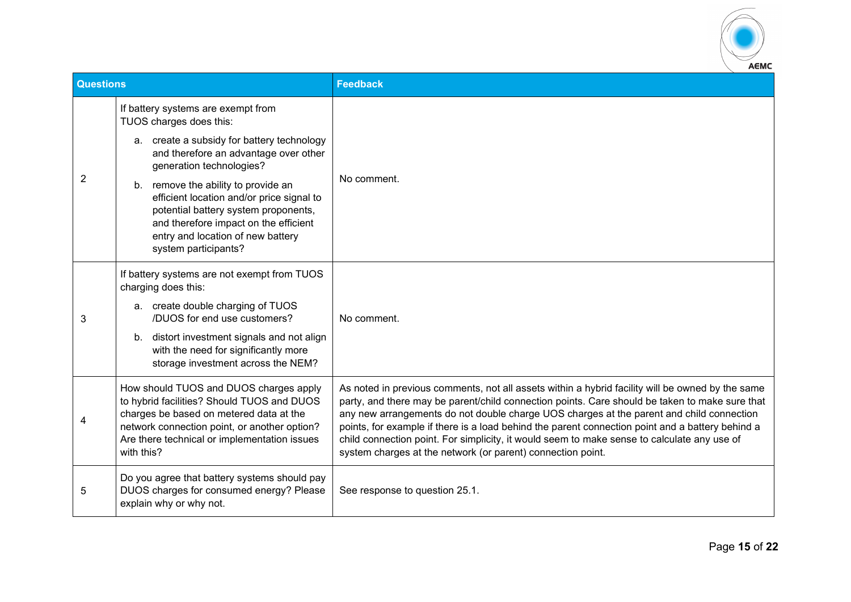

| <b>Questions</b> |                                                                                                                                                                                                                                               | <b>Feedback</b>                                                                                                                                                                                                                                                                                                                                                                                                                                                                                                                                                  |
|------------------|-----------------------------------------------------------------------------------------------------------------------------------------------------------------------------------------------------------------------------------------------|------------------------------------------------------------------------------------------------------------------------------------------------------------------------------------------------------------------------------------------------------------------------------------------------------------------------------------------------------------------------------------------------------------------------------------------------------------------------------------------------------------------------------------------------------------------|
| 2                | If battery systems are exempt from<br>TUOS charges does this:                                                                                                                                                                                 | No comment.                                                                                                                                                                                                                                                                                                                                                                                                                                                                                                                                                      |
|                  | a. create a subsidy for battery technology<br>and therefore an advantage over other<br>generation technologies?                                                                                                                               |                                                                                                                                                                                                                                                                                                                                                                                                                                                                                                                                                                  |
|                  | remove the ability to provide an<br>b.<br>efficient location and/or price signal to<br>potential battery system proponents,<br>and therefore impact on the efficient<br>entry and location of new battery<br>system participants?             |                                                                                                                                                                                                                                                                                                                                                                                                                                                                                                                                                                  |
|                  | If battery systems are not exempt from TUOS<br>charging does this:<br>a. create double charging of TUOS                                                                                                                                       |                                                                                                                                                                                                                                                                                                                                                                                                                                                                                                                                                                  |
| 3                | /DUOS for end use customers?                                                                                                                                                                                                                  | No comment.                                                                                                                                                                                                                                                                                                                                                                                                                                                                                                                                                      |
|                  | distort investment signals and not align<br>b.<br>with the need for significantly more<br>storage investment across the NEM?                                                                                                                  |                                                                                                                                                                                                                                                                                                                                                                                                                                                                                                                                                                  |
|                  | How should TUOS and DUOS charges apply<br>to hybrid facilities? Should TUOS and DUOS<br>charges be based on metered data at the<br>network connection point, or another option?<br>Are there technical or implementation issues<br>with this? | As noted in previous comments, not all assets within a hybrid facility will be owned by the same<br>party, and there may be parent/child connection points. Care should be taken to make sure that<br>any new arrangements do not double charge UOS charges at the parent and child connection<br>points, for example if there is a load behind the parent connection point and a battery behind a<br>child connection point. For simplicity, it would seem to make sense to calculate any use of<br>system charges at the network (or parent) connection point. |
| 5                | Do you agree that battery systems should pay<br>DUOS charges for consumed energy? Please<br>explain why or why not.                                                                                                                           | See response to question 25.1.                                                                                                                                                                                                                                                                                                                                                                                                                                                                                                                                   |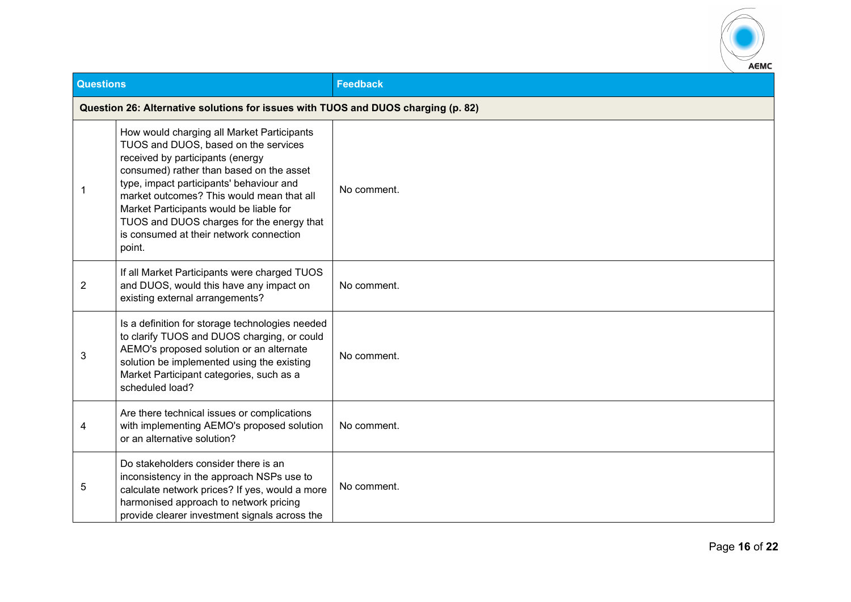

| <b>Questions</b> |                                                                                                                                                                                                                                                                                                                                                                                                          | <b>Feedback</b> |
|------------------|----------------------------------------------------------------------------------------------------------------------------------------------------------------------------------------------------------------------------------------------------------------------------------------------------------------------------------------------------------------------------------------------------------|-----------------|
|                  | Question 26: Alternative solutions for issues with TUOS and DUOS charging (p. 82)                                                                                                                                                                                                                                                                                                                        |                 |
| 1                | How would charging all Market Participants<br>TUOS and DUOS, based on the services<br>received by participants (energy<br>consumed) rather than based on the asset<br>type, impact participants' behaviour and<br>market outcomes? This would mean that all<br>Market Participants would be liable for<br>TUOS and DUOS charges for the energy that<br>is consumed at their network connection<br>point. | No comment.     |
| $\overline{2}$   | If all Market Participants were charged TUOS<br>and DUOS, would this have any impact on<br>existing external arrangements?                                                                                                                                                                                                                                                                               | No comment.     |
| 3                | Is a definition for storage technologies needed<br>to clarify TUOS and DUOS charging, or could<br>AEMO's proposed solution or an alternate<br>solution be implemented using the existing<br>Market Participant categories, such as a<br>scheduled load?                                                                                                                                                  | No comment.     |
| 4                | Are there technical issues or complications<br>with implementing AEMO's proposed solution<br>or an alternative solution?                                                                                                                                                                                                                                                                                 | No comment.     |
| 5                | Do stakeholders consider there is an<br>inconsistency in the approach NSPs use to<br>calculate network prices? If yes, would a more<br>harmonised approach to network pricing<br>provide clearer investment signals across the                                                                                                                                                                           | No comment.     |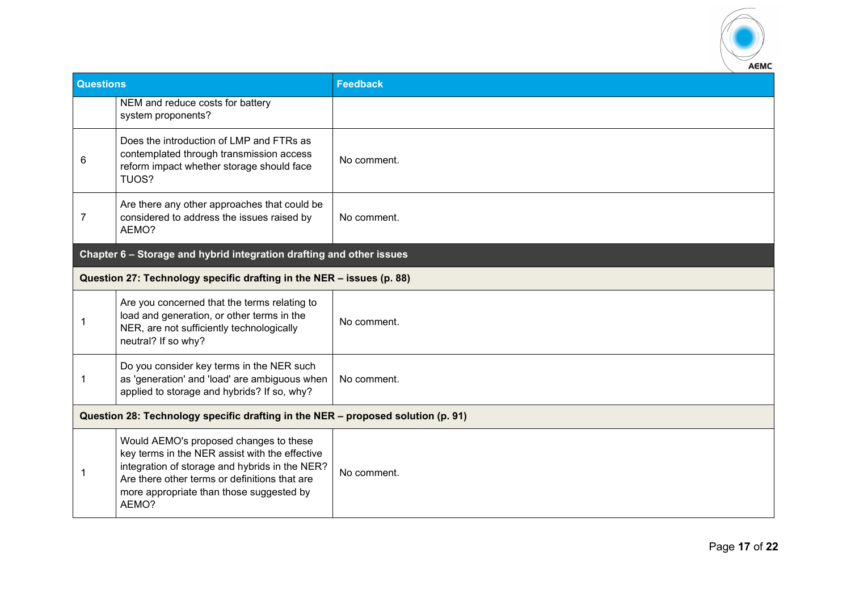

| <b>Questions</b>                                                                 |                                                                                                                                                                                                                                                  | <b>Feedback</b> |
|----------------------------------------------------------------------------------|--------------------------------------------------------------------------------------------------------------------------------------------------------------------------------------------------------------------------------------------------|-----------------|
|                                                                                  | NEM and reduce costs for battery<br>system proponents?                                                                                                                                                                                           |                 |
| 6                                                                                | Does the introduction of LMP and FTRs as<br>contemplated through transmission access<br>reform impact whether storage should face<br>TUOS?                                                                                                       | No comment.     |
| 7                                                                                | Are there any other approaches that could be<br>considered to address the issues raised by<br>AEMO?                                                                                                                                              | No comment.     |
|                                                                                  | Chapter 6 - Storage and hybrid integration drafting and other issues                                                                                                                                                                             |                 |
|                                                                                  | Question 27: Technology specific drafting in the NER - issues (p. 88)                                                                                                                                                                            |                 |
| -1                                                                               | Are you concerned that the terms relating to<br>load and generation, or other terms in the<br>NER, are not sufficiently technologically<br>neutral? If so why?                                                                                   | No comment.     |
| -1                                                                               | Do you consider key terms in the NER such<br>as 'generation' and 'load' are ambiguous when<br>applied to storage and hybrids? If so, why?                                                                                                        | No comment.     |
| Question 28: Technology specific drafting in the NER - proposed solution (p. 91) |                                                                                                                                                                                                                                                  |                 |
| -1                                                                               | Would AEMO's proposed changes to these<br>key terms in the NER assist with the effective<br>integration of storage and hybrids in the NER?<br>Are there other terms or definitions that are<br>more appropriate than those suggested by<br>AEMO? | No comment.     |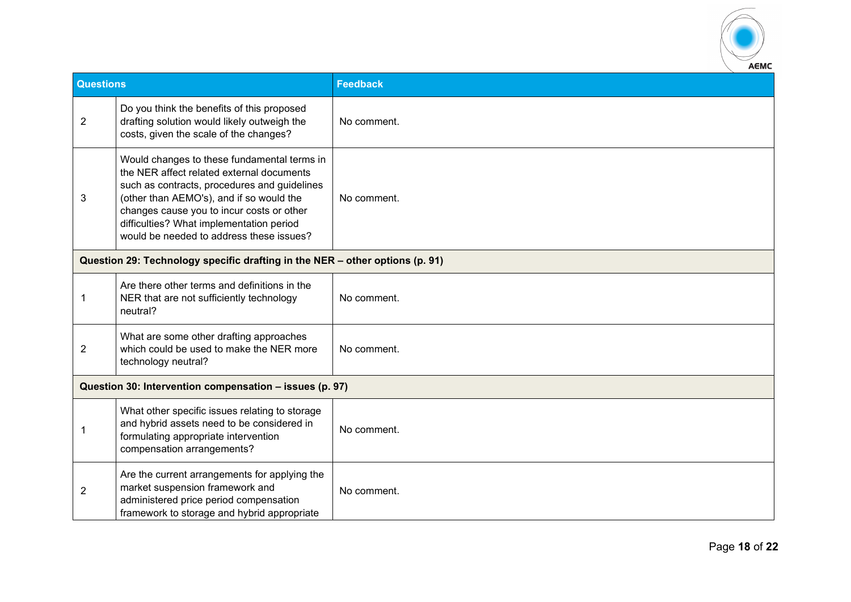

| <b>Questions</b> |                                                                                                                                                                                                                                                                                                                           | <b>Feedback</b> |  |
|------------------|---------------------------------------------------------------------------------------------------------------------------------------------------------------------------------------------------------------------------------------------------------------------------------------------------------------------------|-----------------|--|
| $\overline{2}$   | Do you think the benefits of this proposed<br>drafting solution would likely outweigh the<br>costs, given the scale of the changes?                                                                                                                                                                                       | No comment.     |  |
| 3                | Would changes to these fundamental terms in<br>the NER affect related external documents<br>such as contracts, procedures and guidelines<br>(other than AEMO's), and if so would the<br>changes cause you to incur costs or other<br>difficulties? What implementation period<br>would be needed to address these issues? | No comment.     |  |
|                  | Question 29: Technology specific drafting in the NER - other options (p. 91)                                                                                                                                                                                                                                              |                 |  |
| $\mathbf 1$      | Are there other terms and definitions in the<br>NER that are not sufficiently technology<br>neutral?                                                                                                                                                                                                                      | No comment.     |  |
| $\overline{2}$   | What are some other drafting approaches<br>which could be used to make the NER more<br>technology neutral?                                                                                                                                                                                                                | No comment.     |  |
|                  | Question 30: Intervention compensation - issues (p. 97)                                                                                                                                                                                                                                                                   |                 |  |
|                  | What other specific issues relating to storage<br>and hybrid assets need to be considered in<br>formulating appropriate intervention<br>compensation arrangements?                                                                                                                                                        | No comment.     |  |
| $\overline{2}$   | Are the current arrangements for applying the<br>market suspension framework and<br>administered price period compensation<br>framework to storage and hybrid appropriate                                                                                                                                                 | No comment.     |  |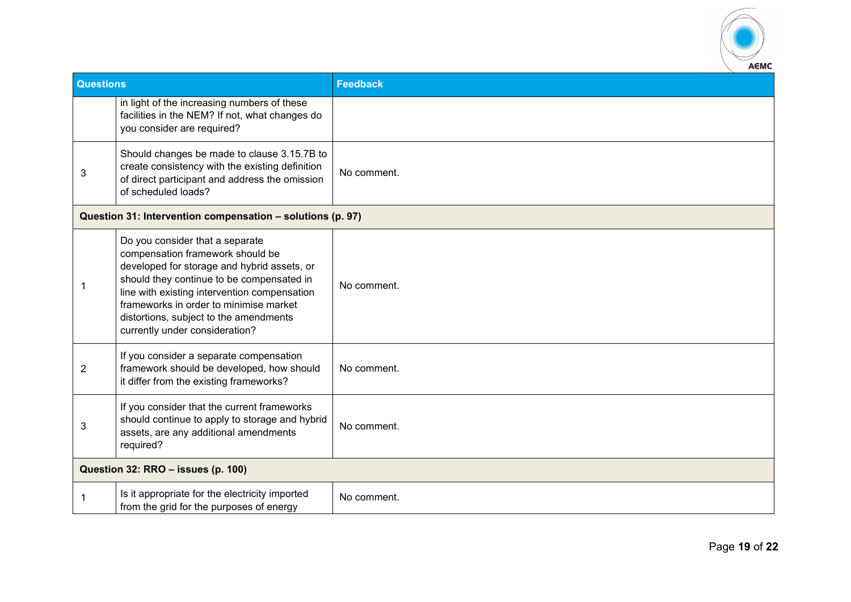

| <b>Questions</b> |                                                                                                                                                                                                                                                                                                                                       | <b>Feedback</b> |
|------------------|---------------------------------------------------------------------------------------------------------------------------------------------------------------------------------------------------------------------------------------------------------------------------------------------------------------------------------------|-----------------|
|                  | in light of the increasing numbers of these<br>facilities in the NEM? If not, what changes do<br>you consider are required?                                                                                                                                                                                                           |                 |
| 3                | Should changes be made to clause 3.15.7B to<br>create consistency with the existing definition<br>of direct participant and address the omission<br>of scheduled loads?                                                                                                                                                               | No comment.     |
|                  | Question 31: Intervention compensation - solutions (p. 97)                                                                                                                                                                                                                                                                            |                 |
| 1                | Do you consider that a separate<br>compensation framework should be<br>developed for storage and hybrid assets, or<br>should they continue to be compensated in<br>line with existing intervention compensation<br>frameworks in order to minimise market<br>distortions, subject to the amendments<br>currently under consideration? | No comment.     |
| $\overline{2}$   | If you consider a separate compensation<br>framework should be developed, how should<br>it differ from the existing frameworks?                                                                                                                                                                                                       | No comment.     |
| 3                | If you consider that the current frameworks<br>should continue to apply to storage and hybrid<br>assets, are any additional amendments<br>required?                                                                                                                                                                                   | No comment.     |
|                  | Question 32: RRO - issues (p. 100)                                                                                                                                                                                                                                                                                                    |                 |
| 1                | Is it appropriate for the electricity imported<br>from the grid for the purposes of energy                                                                                                                                                                                                                                            | No comment.     |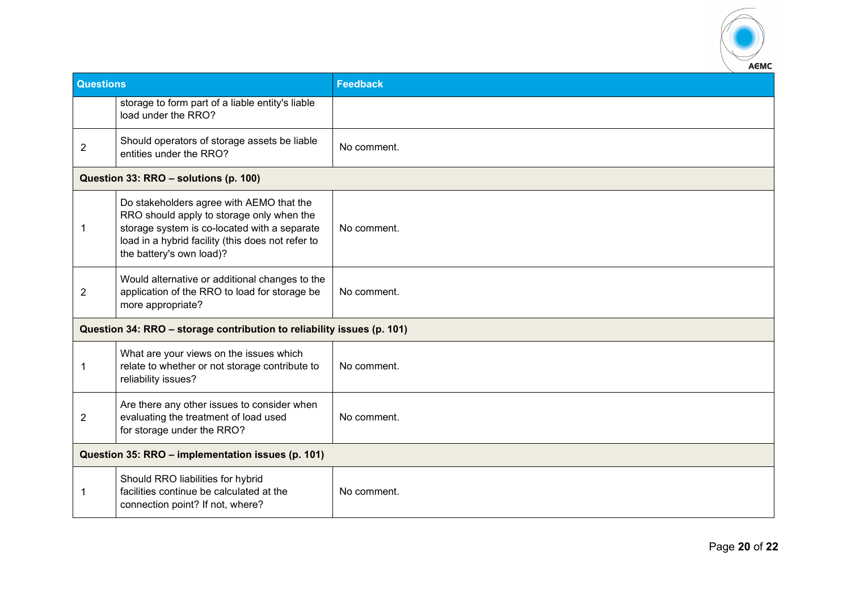

| <b>Questions</b>                                  |                                                                                                                                                                                                                        | <b>Feedback</b> |
|---------------------------------------------------|------------------------------------------------------------------------------------------------------------------------------------------------------------------------------------------------------------------------|-----------------|
|                                                   | storage to form part of a liable entity's liable<br>load under the RRO?                                                                                                                                                |                 |
| $\overline{2}$                                    | Should operators of storage assets be liable<br>entities under the RRO?                                                                                                                                                | No comment.     |
|                                                   | Question 33: RRO - solutions (p. 100)                                                                                                                                                                                  |                 |
| 1                                                 | Do stakeholders agree with AEMO that the<br>RRO should apply to storage only when the<br>storage system is co-located with a separate<br>load in a hybrid facility (this does not refer to<br>the battery's own load)? | No comment.     |
| $\overline{2}$                                    | Would alternative or additional changes to the<br>application of the RRO to load for storage be<br>more appropriate?                                                                                                   | No comment.     |
|                                                   | Question 34: RRO - storage contribution to reliability issues (p. 101)                                                                                                                                                 |                 |
| 1                                                 | What are your views on the issues which<br>relate to whether or not storage contribute to<br>reliability issues?                                                                                                       | No comment.     |
| $\overline{2}$                                    | Are there any other issues to consider when<br>evaluating the treatment of load used<br>for storage under the RRO?                                                                                                     | No comment.     |
| Question 35: RRO - implementation issues (p. 101) |                                                                                                                                                                                                                        |                 |
| 1                                                 | Should RRO liabilities for hybrid<br>facilities continue be calculated at the<br>connection point? If not, where?                                                                                                      | No comment.     |
|                                                   |                                                                                                                                                                                                                        |                 |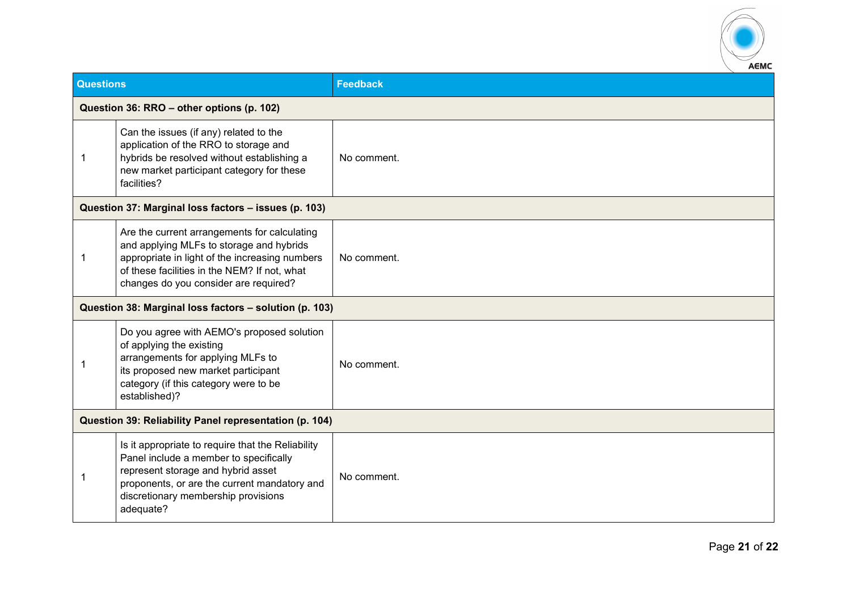

| <b>Questions</b>                                       |                                                                                                                                                                                                                                       | <b>Feedback</b> |
|--------------------------------------------------------|---------------------------------------------------------------------------------------------------------------------------------------------------------------------------------------------------------------------------------------|-----------------|
|                                                        | Question 36: RRO - other options (p. 102)                                                                                                                                                                                             |                 |
| -1                                                     | Can the issues (if any) related to the<br>application of the RRO to storage and<br>hybrids be resolved without establishing a<br>new market participant category for these<br>facilities?                                             | No comment.     |
|                                                        | Question 37: Marginal loss factors - issues (p. 103)                                                                                                                                                                                  |                 |
| -1                                                     | Are the current arrangements for calculating<br>and applying MLFs to storage and hybrids<br>appropriate in light of the increasing numbers<br>of these facilities in the NEM? If not, what<br>changes do you consider are required?   | No comment.     |
|                                                        | Question 38: Marginal loss factors - solution (p. 103)                                                                                                                                                                                |                 |
|                                                        | Do you agree with AEMO's proposed solution<br>of applying the existing<br>arrangements for applying MLFs to<br>its proposed new market participant<br>category (if this category were to be<br>established)?                          | No comment.     |
| Question 39: Reliability Panel representation (p. 104) |                                                                                                                                                                                                                                       |                 |
| -1                                                     | Is it appropriate to require that the Reliability<br>Panel include a member to specifically<br>represent storage and hybrid asset<br>proponents, or are the current mandatory and<br>discretionary membership provisions<br>adequate? | No comment.     |